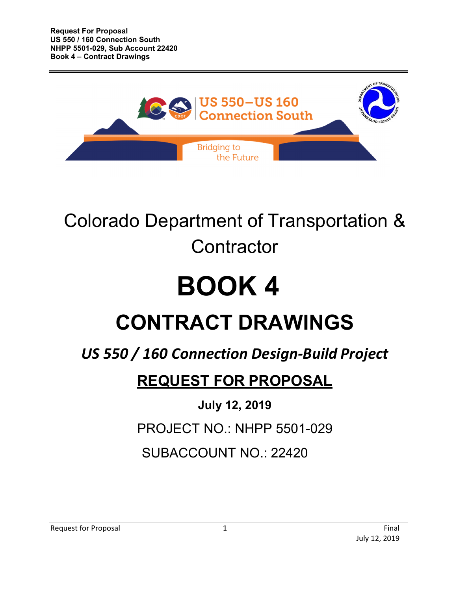

## Colorado Department of Transportation & **Contractor**

# **BOOK 4**

## **CONTRACT DRAWINGS**

### *US 550 / 160 Connection Design-Build Project*

### **REQUEST FOR PROPOSAL**

#### **July 12, 2019**

PROJECT NO.: NHPP 5501-029

SUBACCOUNT NO.: 22420